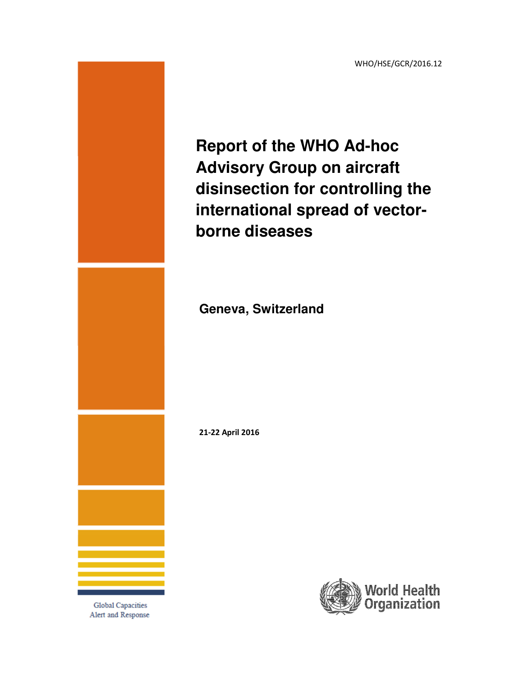WHO/HSE/GCR/2016.12



**Report of the WHO Ad-hoc Advisory Group on aircraft disinsection for controlling the international spread of vectorborne diseases** 

# **Geneva, Switzerland**

21-22 April 2016

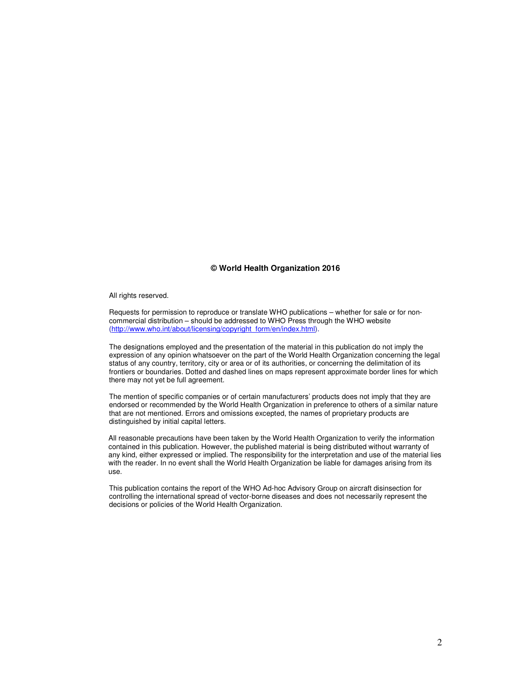#### **© World Health Organization 2016**

All rights reserved.

Requests for permission to reproduce or translate WHO publications – whether for sale or for noncommercial distribution – should be addressed to WHO Press through the WHO website (http://www.who.int/about/licensing/copyright\_form/en/index.html).

The designations employed and the presentation of the material in this publication do not imply the expression of any opinion whatsoever on the part of the World Health Organization concerning the legal status of any country, territory, city or area or of its authorities, or concerning the delimitation of its frontiers or boundaries. Dotted and dashed lines on maps represent approximate border lines for which there may not yet be full agreement.

The mention of specific companies or of certain manufacturers' products does not imply that they are endorsed or recommended by the World Health Organization in preference to others of a similar nature that are not mentioned. Errors and omissions excepted, the names of proprietary products are distinguished by initial capital letters.

All reasonable precautions have been taken by the World Health Organization to verify the information contained in this publication. However, the published material is being distributed without warranty of any kind, either expressed or implied. The responsibility for the interpretation and use of the material lies with the reader. In no event shall the World Health Organization be liable for damages arising from its use.

This publication contains the report of the WHO Ad-hoc Advisory Group on aircraft disinsection for controlling the international spread of vector-borne diseases and does not necessarily represent the decisions or policies of the World Health Organization.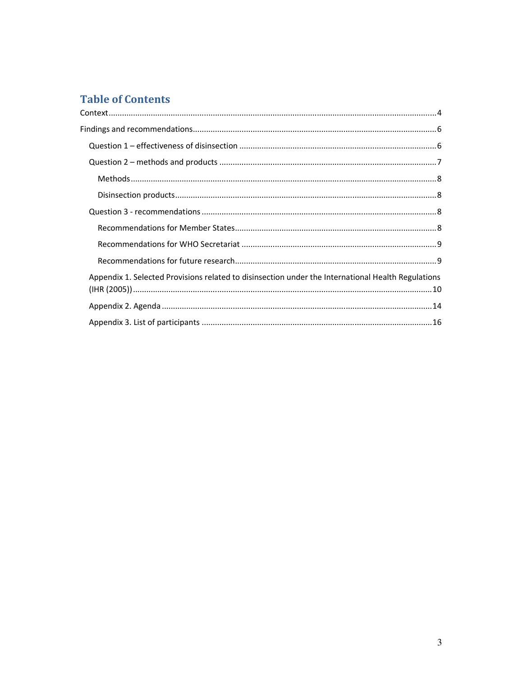# **Table of Contents**

| Appendix 1. Selected Provisions related to disinsection under the International Health Regulations |  |
|----------------------------------------------------------------------------------------------------|--|
|                                                                                                    |  |
|                                                                                                    |  |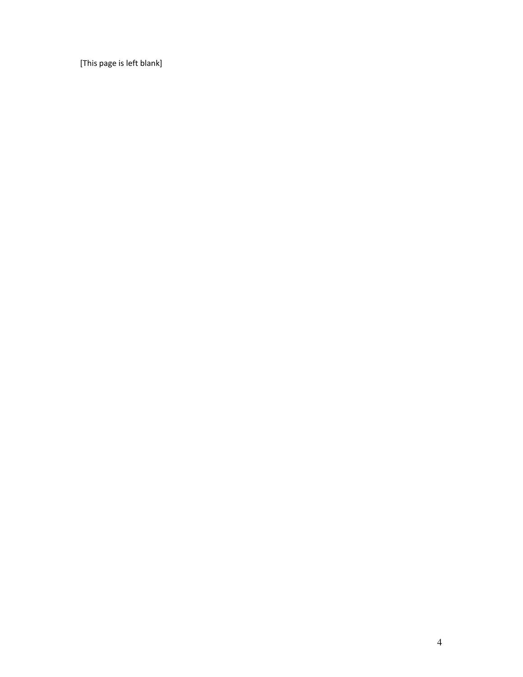[This page is left blank]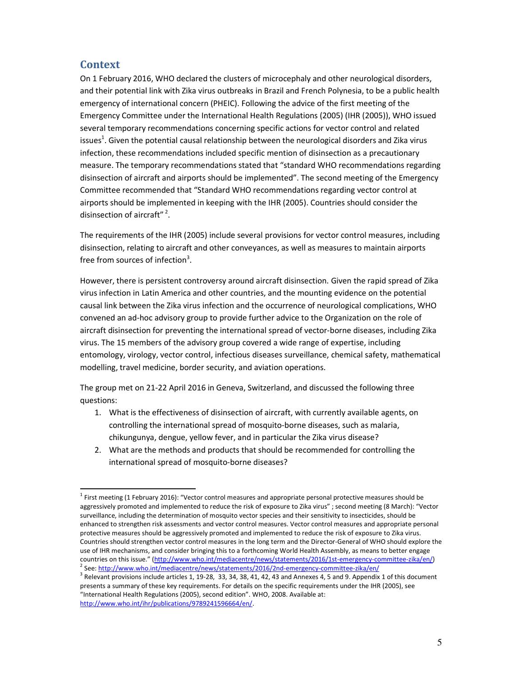## **Context**

l

On 1 February 2016, WHO declared the clusters of microcephaly and other neurological disorders, and their potential link with Zika virus outbreaks in Brazil and French Polynesia, to be a public health emergency of international concern (PHEIC). Following the advice of the first meeting of the Emergency Committee under the International Health Regulations (2005) (IHR (2005)), WHO issued several temporary recommendations concerning specific actions for vector control and related issues<sup>1</sup>. Given the potential causal relationship between the neurological disorders and Zika virus infection, these recommendations included specific mention of disinsection as a precautionary measure. The temporary recommendations stated that "standard WHO recommendations regarding disinsection of aircraft and airports should be implemented". The second meeting of the Emergency Committee recommended that "Standard WHO recommendations regarding vector control at airports should be implemented in keeping with the IHR (2005). Countries should consider the disinsection of aircraft"<sup>2</sup>.

The requirements of the IHR (2005) include several provisions for vector control measures, including disinsection, relating to aircraft and other conveyances, as well as measures to maintain airports free from sources of infection<sup>3</sup>.

However, there is persistent controversy around aircraft disinsection. Given the rapid spread of Zika virus infection in Latin America and other countries, and the mounting evidence on the potential causal link between the Zika virus infection and the occurrence of neurological complications, WHO convened an ad-hoc advisory group to provide further advice to the Organization on the role of aircraft disinsection for preventing the international spread of vector-borne diseases, including Zika virus. The 15 members of the advisory group covered a wide range of expertise, including entomology, virology, vector control, infectious diseases surveillance, chemical safety, mathematical modelling, travel medicine, border security, and aviation operations.

The group met on 21-22 April 2016 in Geneva, Switzerland, and discussed the following three questions:

- 1. What is the effectiveness of disinsection of aircraft, with currently available agents, on controlling the international spread of mosquito-borne diseases, such as malaria, chikungunya, dengue, yellow fever, and in particular the Zika virus disease?
- 2. What are the methods and products that should be recommended for controlling the international spread of mosquito-borne diseases?

<sup>&</sup>lt;sup>1</sup> First meeting (1 February 2016): "Vector control measures and appropriate personal protective measures should be aggressively promoted and implemented to reduce the risk of exposure to Zika virus" ; second meeting (8 March): "Vector surveillance, including the determination of mosquito vector species and their sensitivity to insecticides, should be enhanced to strengthen risk assessments and vector control measures. Vector control measures and appropriate personal protective measures should be aggressively promoted and implemented to reduce the risk of exposure to Zika virus. Countries should strengthen vector control measures in the long term and the Director-General of WHO should explore the use of IHR mechanisms, and consider bringing this to a forthcoming World Health Assembly, as means to better engage countries on this issue." (http://www.who.int/mediacentre/news/statements/2016/1st-emergency-committee-zika/en/) <sup>2</sup> See: http://www.who.int/mediacentre/news/statements/2016/2nd-emergency-committee-zika/en/

 $3$  Relevant provisions include articles 1, 19-28, 33, 34, 38, 41, 42, 43 and Annexes 4, 5 and 9. Appendix 1 of this document presents a summary of these key requirements. For details on the specific requirements under the IHR (2005), see "International Health Regulations (2005), second edition". WHO, 2008. Available at: http://www.who.int/ihr/publications/9789241596664/en/.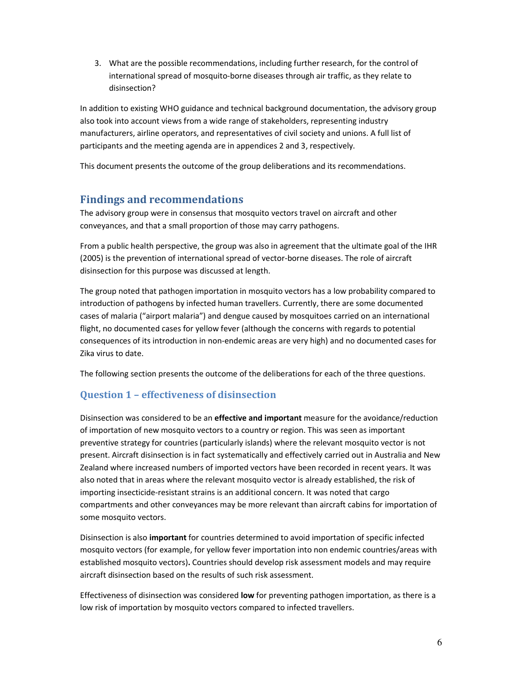3. What are the possible recommendations, including further research, for the control of international spread of mosquito-borne diseases through air traffic, as they relate to disinsection?

In addition to existing WHO guidance and technical background documentation, the advisory group also took into account views from a wide range of stakeholders, representing industry manufacturers, airline operators, and representatives of civil society and unions. A full list of participants and the meeting agenda are in appendices 2 and 3, respectively.

This document presents the outcome of the group deliberations and its recommendations.

# Findings and recommendations

The advisory group were in consensus that mosquito vectors travel on aircraft and other conveyances, and that a small proportion of those may carry pathogens.

From a public health perspective, the group was also in agreement that the ultimate goal of the IHR (2005) is the prevention of international spread of vector-borne diseases. The role of aircraft disinsection for this purpose was discussed at length.

The group noted that pathogen importation in mosquito vectors has a low probability compared to introduction of pathogens by infected human travellers. Currently, there are some documented cases of malaria ("airport malaria") and dengue caused by mosquitoes carried on an international flight, no documented cases for yellow fever (although the concerns with regards to potential consequences of its introduction in non-endemic areas are very high) and no documented cases for Zika virus to date.

The following section presents the outcome of the deliberations for each of the three questions.

## Question 1 – effectiveness of disinsection

Disinsection was considered to be an effective and important measure for the avoidance/reduction of importation of new mosquito vectors to a country or region. This was seen as important preventive strategy for countries (particularly islands) where the relevant mosquito vector is not present. Aircraft disinsection is in fact systematically and effectively carried out in Australia and New Zealand where increased numbers of imported vectors have been recorded in recent years. It was also noted that in areas where the relevant mosquito vector is already established, the risk of importing insecticide-resistant strains is an additional concern. It was noted that cargo compartments and other conveyances may be more relevant than aircraft cabins for importation of some mosquito vectors.

Disinsection is also important for countries determined to avoid importation of specific infected mosquito vectors (for example, for yellow fever importation into non endemic countries/areas with established mosquito vectors). Countries should develop risk assessment models and may require aircraft disinsection based on the results of such risk assessment.

Effectiveness of disinsection was considered low for preventing pathogen importation, as there is a low risk of importation by mosquito vectors compared to infected travellers.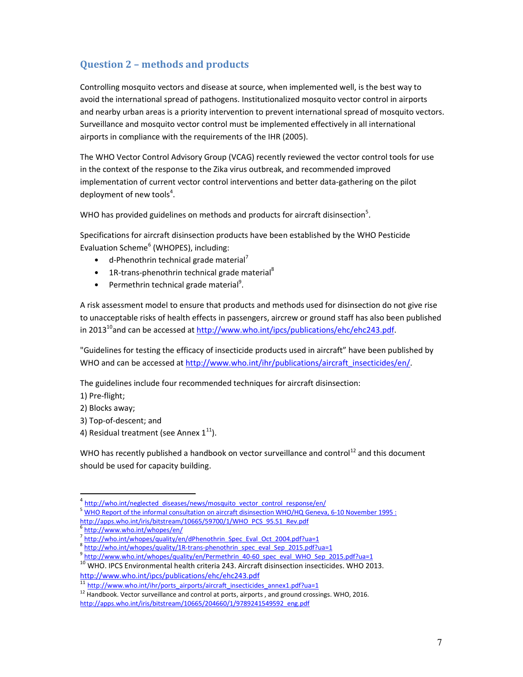## Question 2 – methods and products

Controlling mosquito vectors and disease at source, when implemented well, is the best way to avoid the international spread of pathogens. Institutionalized mosquito vector control in airports and nearby urban areas is a priority intervention to prevent international spread of mosquito vectors. Surveillance and mosquito vector control must be implemented effectively in all international airports in compliance with the requirements of the IHR (2005).

The WHO Vector Control Advisory Group (VCAG) recently reviewed the vector control tools for use in the context of the response to the Zika virus outbreak, and recommended improved implementation of current vector control interventions and better data-gathering on the pilot deployment of new tools<sup>4</sup>.

WHO has provided guidelines on methods and products for aircraft disinsection<sup>5</sup>.

Specifications for aircraft disinsection products have been established by the WHO Pesticide Evaluation Scheme<sup>6</sup> (WHOPES), including:

- d-Phenothrin technical grade material<sup>7</sup>
- 1R-trans-phenothrin technical grade material<sup>8</sup>
- Permethrin technical grade material<sup>9</sup>.

A risk assessment model to ensure that products and methods used for disinsection do not give rise to unacceptable risks of health effects in passengers, aircrew or ground staff has also been published in 2013<sup>10</sup>and can be accessed at http://www.who.int/ipcs/publications/ehc/ehc243.pdf.

"Guidelines for testing the efficacy of insecticide products used in aircraft" have been published by WHO and can be accessed at http://www.who.int/ihr/publications/aircraft\_insecticides/en/.

The guidelines include four recommended techniques for aircraft disinsection:

1) Pre-flight;

 $\overline{\phantom{a}}$ 

- 2) Blocks away;
- 3) Top-of-descent; and
- 4) Residual treatment (see Annex  $1^{11}$ ).

WHO has recently published a handbook on vector surveillance and control $^{12}$  and this document should be used for capacity building.

<sup>10</sup> WHO. IPCS Environmental health criteria 243. Aircraft disinsection insecticides. WHO 2013. http://www.who.int/ipcs/publications/ehc/ehc243.pdf

<sup>12</sup> Handbook. Vector surveillance and control at ports, airports, and ground crossings. WHO, 2016. http://apps.who.int/iris/bitstream/10665/204660/1/9789241549592\_eng.pdf

<sup>4</sup> http://who.int/neglected\_diseases/news/mosquito\_vector\_control\_response/en/

<sup>&</sup>lt;sup>5</sup> WHO Report of the informal consultation on aircraft disinsection WHO/HQ Geneva, 6-10 November 1995 : http://apps.who.int/iris/bitstream/10665/59700/1/WHO\_PCS\_95.51\_Rev.pdf 6 http://www.who.int/whopes/en/

 $T \frac{1}{1}$ http://who.int/whopes/quality/en/dPhenothrin\_Spec\_Eval\_Oct\_2004.pdf?ua=1

http://who.int/whopes/quality/1R-trans-phenothrin\_spec\_eval\_Sep\_2015.pdf?ua=1

<sup>9</sup>  $\frac{9 \text{ http://www.who.int/whopes/quality/en/Permethrin}40-60 \text{ spec eval}$  WHO Sep 2015.pdf?ua=1<br>10.000 Separation 2006 F

<sup>&</sup>lt;sup>11</sup> http://www.who.int/ihr/ports\_airports/aircraft\_insecticides\_annex1.pdf?ua=1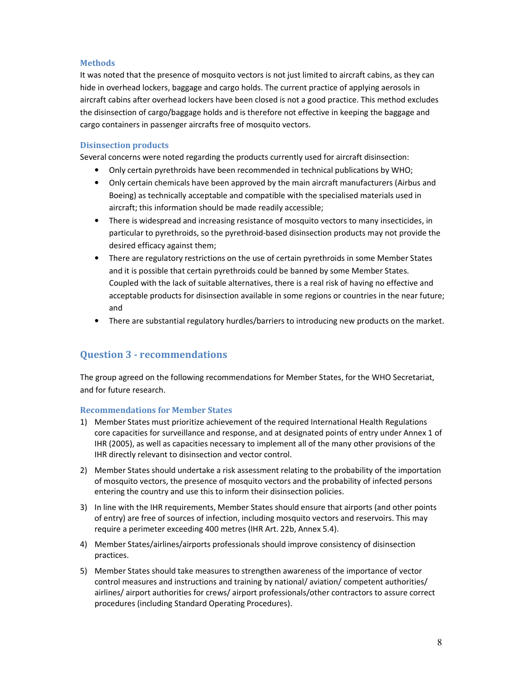## **Methods**

It was noted that the presence of mosquito vectors is not just limited to aircraft cabins, as they can hide in overhead lockers, baggage and cargo holds. The current practice of applying aerosols in aircraft cabins after overhead lockers have been closed is not a good practice. This method excludes the disinsection of cargo/baggage holds and is therefore not effective in keeping the baggage and cargo containers in passenger aircrafts free of mosquito vectors.

## Disinsection products

Several concerns were noted regarding the products currently used for aircraft disinsection:

- Only certain pyrethroids have been recommended in technical publications by WHO;
- Only certain chemicals have been approved by the main aircraft manufacturers (Airbus and Boeing) as technically acceptable and compatible with the specialised materials used in aircraft; this information should be made readily accessible;
- There is widespread and increasing resistance of mosquito vectors to many insecticides, in particular to pyrethroids, so the pyrethroid-based disinsection products may not provide the desired efficacy against them;
- There are regulatory restrictions on the use of certain pyrethroids in some Member States and it is possible that certain pyrethroids could be banned by some Member States. Coupled with the lack of suitable alternatives, there is a real risk of having no effective and acceptable products for disinsection available in some regions or countries in the near future; and
- There are substantial regulatory hurdles/barriers to introducing new products on the market.

## Question 3 - recommendations

The group agreed on the following recommendations for Member States, for the WHO Secretariat, and for future research.

## Recommendations for Member States

- 1) Member States must prioritize achievement of the required International Health Regulations core capacities for surveillance and response, and at designated points of entry under Annex 1 of IHR (2005), as well as capacities necessary to implement all of the many other provisions of the IHR directly relevant to disinsection and vector control.
- 2) Member States should undertake a risk assessment relating to the probability of the importation of mosquito vectors, the presence of mosquito vectors and the probability of infected persons entering the country and use this to inform their disinsection policies.
- 3) In line with the IHR requirements, Member States should ensure that airports (and other points of entry) are free of sources of infection, including mosquito vectors and reservoirs. This may require a perimeter exceeding 400 metres (IHR Art. 22b, Annex 5.4).
- 4) Member States/airlines/airports professionals should improve consistency of disinsection practices.
- 5) Member States should take measures to strengthen awareness of the importance of vector control measures and instructions and training by national/ aviation/ competent authorities/ airlines/ airport authorities for crews/ airport professionals/other contractors to assure correct procedures (including Standard Operating Procedures).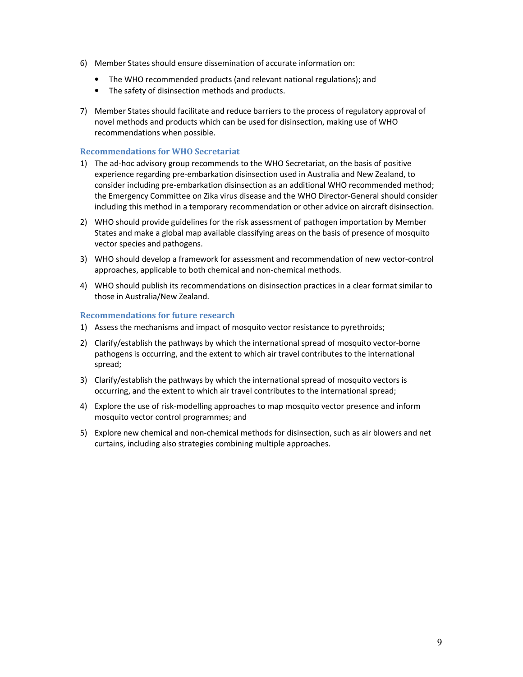- 6) Member States should ensure dissemination of accurate information on:
	- The WHO recommended products (and relevant national regulations); and
	- The safety of disinsection methods and products.
- 7) Member States should facilitate and reduce barriers to the process of regulatory approval of novel methods and products which can be used for disinsection, making use of WHO recommendations when possible.

## Recommendations for WHO Secretariat

- 1) The ad-hoc advisory group recommends to the WHO Secretariat, on the basis of positive experience regarding pre-embarkation disinsection used in Australia and New Zealand, to consider including pre-embarkation disinsection as an additional WHO recommended method; the Emergency Committee on Zika virus disease and the WHO Director-General should consider including this method in a temporary recommendation or other advice on aircraft disinsection.
- 2) WHO should provide guidelines for the risk assessment of pathogen importation by Member States and make a global map available classifying areas on the basis of presence of mosquito vector species and pathogens.
- 3) WHO should develop a framework for assessment and recommendation of new vector-control approaches, applicable to both chemical and non-chemical methods.
- 4) WHO should publish its recommendations on disinsection practices in a clear format similar to those in Australia/New Zealand.

## Recommendations for future research

- 1) Assess the mechanisms and impact of mosquito vector resistance to pyrethroids;
- 2) Clarify/establish the pathways by which the international spread of mosquito vector-borne pathogens is occurring, and the extent to which air travel contributes to the international spread;
- 3) Clarify/establish the pathways by which the international spread of mosquito vectors is occurring, and the extent to which air travel contributes to the international spread;
- 4) Explore the use of risk-modelling approaches to map mosquito vector presence and inform mosquito vector control programmes; and
- 5) Explore new chemical and non-chemical methods for disinsection, such as air blowers and net curtains, including also strategies combining multiple approaches.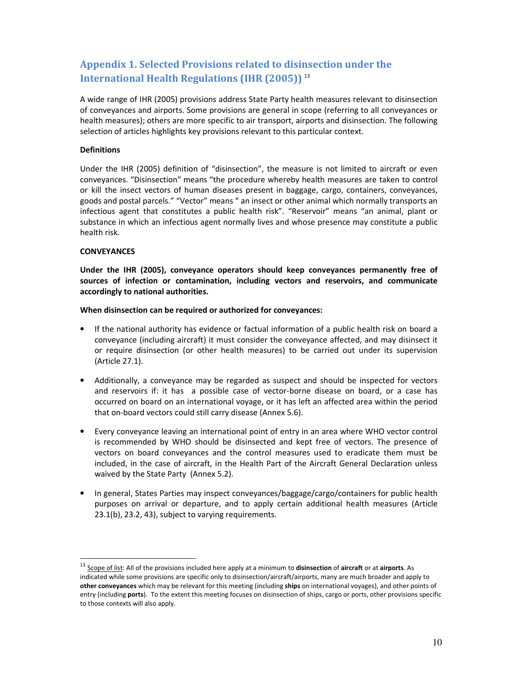# Appendix 1. Selected Provisions related to disinsection under the International Health Regulations (IHR (2005)) <sup>13</sup>

A wide range of IHR (2005) provisions address State Party health measures relevant to disinsection of conveyances and airports. Some provisions are general in scope (referring to all conveyances or health measures); others are more specific to air transport, airports and disinsection. The following selection of articles highlights key provisions relevant to this particular context.

## **Definitions**

Under the IHR (2005) definition of "disinsection", the measure is not limited to aircraft or even conveyances. "Disinsection" means "the procedure whereby health measures are taken to control or kill the insect vectors of human diseases present in baggage, cargo, containers, conveyances, goods and postal parcels." "Vector" means " an insect or other animal which normally transports an infectious agent that constitutes a public health risk". "Reservoir" means "an animal, plant or substance in which an infectious agent normally lives and whose presence may constitute a public health risk.

### **CONVEYANCES**

l

Under the IHR (2005), conveyance operators should keep conveyances permanently free of sources of infection or contamination, including vectors and reservoirs, and communicate accordingly to national authorities.

#### When disinsection can be required or authorized for conveyances:

- If the national authority has evidence or factual information of a public health risk on board a conveyance (including aircraft) it must consider the conveyance affected, and may disinsect it or require disinsection (or other health measures) to be carried out under its supervision (Article 27.1).
- Additionally, a conveyance may be regarded as suspect and should be inspected for vectors and reservoirs if: it has a possible case of vector-borne disease on board, or a case has occurred on board on an international voyage, or it has left an affected area within the period that on-board vectors could still carry disease (Annex 5.6).
- Every conveyance leaving an international point of entry in an area where WHO vector control is recommended by WHO should be disinsected and kept free of vectors. The presence of vectors on board conveyances and the control measures used to eradicate them must be included, in the case of aircraft, in the Health Part of the Aircraft General Declaration unless waived by the State Party (Annex 5.2).
- In general, States Parties may inspect conveyances/baggage/cargo/containers for public health purposes on arrival or departure, and to apply certain additional health measures (Article 23.1(b), 23.2, 43), subject to varying requirements.

<sup>&</sup>lt;sup>13</sup> Scope of list: All of the provisions included here apply at a minimum to **disinsection** of aircraft or at airports. As indicated while some provisions are specific only to disinsection/aircraft/airports, many are much broader and apply to other conveyances which may be relevant for this meeting (including ships on international voyages), and other points of entry (including ports). To the extent this meeting focuses on disinsection of ships, cargo or ports, other provisions specific to those contexts will also apply.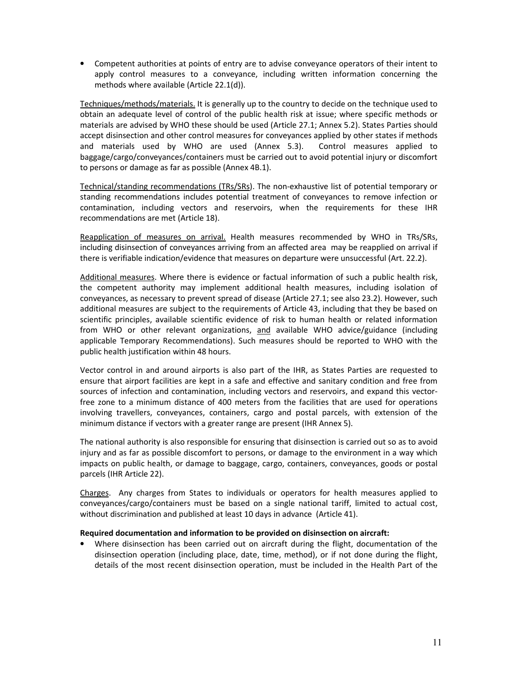• Competent authorities at points of entry are to advise conveyance operators of their intent to apply control measures to a conveyance, including written information concerning the methods where available (Article 22.1(d)).

Techniques/methods/materials. It is generally up to the country to decide on the technique used to obtain an adequate level of control of the public health risk at issue; where specific methods or materials are advised by WHO these should be used (Article 27.1; Annex 5.2). States Parties should accept disinsection and other control measures for conveyances applied by other states if methods and materials used by WHO are used (Annex 5.3). Control measures applied to baggage/cargo/conveyances/containers must be carried out to avoid potential injury or discomfort to persons or damage as far as possible (Annex 4B.1).

Technical/standing recommendations (TRs/SRs). The non-exhaustive list of potential temporary or standing recommendations includes potential treatment of conveyances to remove infection or contamination, including vectors and reservoirs, when the requirements for these IHR recommendations are met (Article 18).

Reapplication of measures on arrival. Health measures recommended by WHO in TRs/SRs, including disinsection of conveyances arriving from an affected area may be reapplied on arrival if there is verifiable indication/evidence that measures on departure were unsuccessful (Art. 22.2).

Additional measures. Where there is evidence or factual information of such a public health risk, the competent authority may implement additional health measures, including isolation of conveyances, as necessary to prevent spread of disease (Article 27.1; see also 23.2). However, such additional measures are subject to the requirements of Article 43, including that they be based on scientific principles, available scientific evidence of risk to human health or related information from WHO or other relevant organizations, and available WHO advice/guidance (including applicable Temporary Recommendations). Such measures should be reported to WHO with the public health justification within 48 hours.

Vector control in and around airports is also part of the IHR, as States Parties are requested to ensure that airport facilities are kept in a safe and effective and sanitary condition and free from sources of infection and contamination, including vectors and reservoirs, and expand this vectorfree zone to a minimum distance of 400 meters from the facilities that are used for operations involving travellers, conveyances, containers, cargo and postal parcels, with extension of the minimum distance if vectors with a greater range are present (IHR Annex 5).

The national authority is also responsible for ensuring that disinsection is carried out so as to avoid injury and as far as possible discomfort to persons, or damage to the environment in a way which impacts on public health, or damage to baggage, cargo, containers, conveyances, goods or postal parcels (IHR Article 22).

Charges. Any charges from States to individuals or operators for health measures applied to conveyances/cargo/containers must be based on a single national tariff, limited to actual cost, without discrimination and published at least 10 days in advance (Article 41).

#### Required documentation and information to be provided on disinsection on aircraft:

• Where disinsection has been carried out on aircraft during the flight, documentation of the disinsection operation (including place, date, time, method), or if not done during the flight, details of the most recent disinsection operation, must be included in the Health Part of the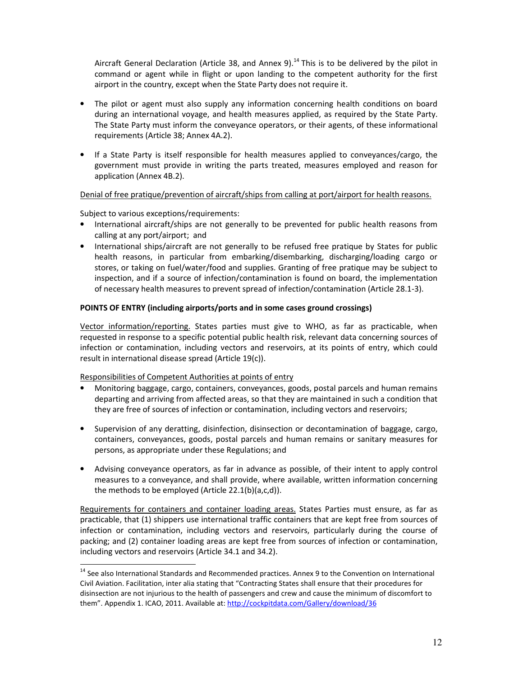Aircraft General Declaration (Article 38, and Annex 9).<sup>14</sup> This is to be delivered by the pilot in command or agent while in flight or upon landing to the competent authority for the first airport in the country, except when the State Party does not require it.

- The pilot or agent must also supply any information concerning health conditions on board during an international voyage, and health measures applied, as required by the State Party. The State Party must inform the conveyance operators, or their agents, of these informational requirements (Article 38; Annex 4A.2).
- If a State Party is itself responsible for health measures applied to conveyances/cargo, the government must provide in writing the parts treated, measures employed and reason for application (Annex 4B.2).

## Denial of free pratique/prevention of aircraft/ships from calling at port/airport for health reasons.

Subject to various exceptions/requirements:

- International aircraft/ships are not generally to be prevented for public health reasons from calling at any port/airport; and
- International ships/aircraft are not generally to be refused free pratique by States for public health reasons, in particular from embarking/disembarking, discharging/loading cargo or stores, or taking on fuel/water/food and supplies. Granting of free pratique may be subject to inspection, and if a source of infection/contamination is found on board, the implementation of necessary health measures to prevent spread of infection/contamination (Article 28.1-3).

## POINTS OF ENTRY (including airports/ports and in some cases ground crossings)

Vector information/reporting. States parties must give to WHO, as far as practicable, when requested in response to a specific potential public health risk, relevant data concerning sources of infection or contamination, including vectors and reservoirs, at its points of entry, which could result in international disease spread (Article 19(c)).

### Responsibilities of Competent Authorities at points of entry

 $\overline{\phantom{a}}$ 

- Monitoring baggage, cargo, containers, conveyances, goods, postal parcels and human remains departing and arriving from affected areas, so that they are maintained in such a condition that they are free of sources of infection or contamination, including vectors and reservoirs;
- Supervision of any deratting, disinfection, disinsection or decontamination of baggage, cargo, containers, conveyances, goods, postal parcels and human remains or sanitary measures for persons, as appropriate under these Regulations; and
- Advising conveyance operators, as far in advance as possible, of their intent to apply control measures to a conveyance, and shall provide, where available, written information concerning the methods to be employed (Article 22.1(b)(a,c,d)).

Requirements for containers and container loading areas. States Parties must ensure, as far as practicable, that (1) shippers use international traffic containers that are kept free from sources of infection or contamination, including vectors and reservoirs, particularly during the course of packing; and (2) container loading areas are kept free from sources of infection or contamination, including vectors and reservoirs (Article 34.1 and 34.2).

<sup>&</sup>lt;sup>14</sup> See also International Standards and Recommended practices. Annex 9 to the Convention on International Civil Aviation. Facilitation, inter alia stating that "Contracting States shall ensure that their procedures for disinsection are not injurious to the health of passengers and crew and cause the minimum of discomfort to them". Appendix 1. ICAO, 2011. Available at: http://cockpitdata.com/Gallery/download/36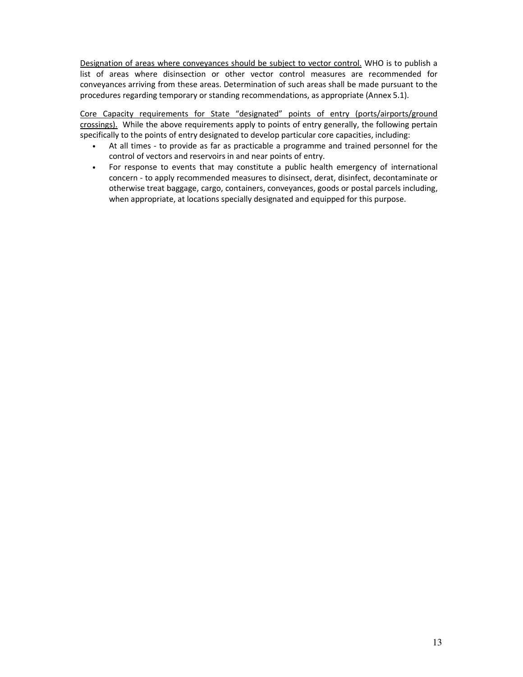Designation of areas where conveyances should be subject to vector control. WHO is to publish a list of areas where disinsection or other vector control measures are recommended for conveyances arriving from these areas. Determination of such areas shall be made pursuant to the procedures regarding temporary or standing recommendations, as appropriate (Annex 5.1).

Core Capacity requirements for State "designated" points of entry (ports/airports/ground crossings). While the above requirements apply to points of entry generally, the following pertain specifically to the points of entry designated to develop particular core capacities, including:

- At all times to provide as far as practicable a programme and trained personnel for the control of vectors and reservoirs in and near points of entry.
- For response to events that may constitute a public health emergency of international concern - to apply recommended measures to disinsect, derat, disinfect, decontaminate or otherwise treat baggage, cargo, containers, conveyances, goods or postal parcels including, when appropriate, at locations specially designated and equipped for this purpose.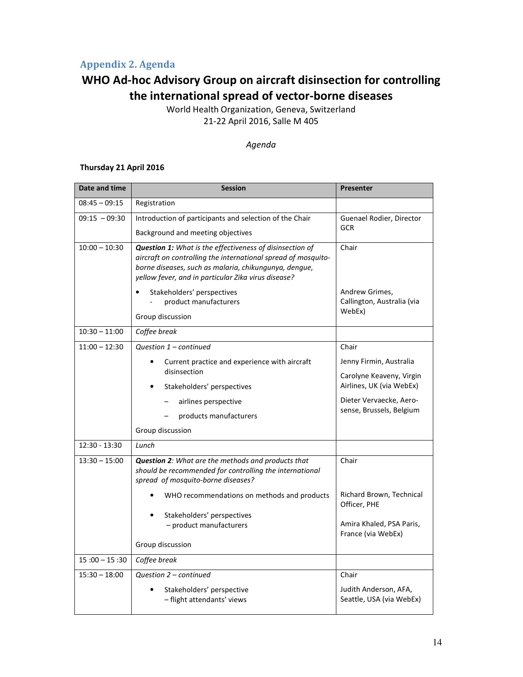# Appendix 2. Agenda

# WHO Ad-hoc Advisory Group on aircraft disinsection for controlling the international spread of vector-borne diseases

World Health Organization, Geneva, Switzerland 21-22 April 2016, Salle M 405

## Agenda

## Thursday 21 April 2016

| Date and time   | <b>Session</b>                                                                                                                                                                                                                                   | Presenter                                              |
|-----------------|--------------------------------------------------------------------------------------------------------------------------------------------------------------------------------------------------------------------------------------------------|--------------------------------------------------------|
| $08:45 - 09:15$ | Registration                                                                                                                                                                                                                                     |                                                        |
| $09:15 - 09:30$ | Introduction of participants and selection of the Chair                                                                                                                                                                                          | Guenael Rodier, Director                               |
|                 | Background and meeting objectives                                                                                                                                                                                                                | <b>GCR</b>                                             |
| $10:00 - 10:30$ | <b>Question 1:</b> What is the effectiveness of disinsection of<br>aircraft on controlling the international spread of mosquito-<br>borne diseases, such as malaria, chikungunya, dengue,<br>yellow fever, and in particular Zika virus disease? | Chair                                                  |
|                 | Stakeholders' perspectives<br>product manufacturers                                                                                                                                                                                              | Andrew Grimes,<br>Callington, Australia (via<br>WebEx) |
|                 | Group discussion                                                                                                                                                                                                                                 |                                                        |
| $10:30 - 11:00$ | Coffee break                                                                                                                                                                                                                                     |                                                        |
| $11:00 - 12:30$ | Question 1 - continued                                                                                                                                                                                                                           | Chair                                                  |
|                 | Current practice and experience with aircraft                                                                                                                                                                                                    | Jenny Firmin, Australia                                |
|                 | disinsection                                                                                                                                                                                                                                     | Carolyne Keaveny, Virgin                               |
|                 | Stakeholders' perspectives                                                                                                                                                                                                                       | Airlines, UK (via WebEx)                               |
|                 | airlines perspective                                                                                                                                                                                                                             | Dieter Vervaecke, Aero-<br>sense, Brussels, Belgium    |
|                 | products manufacturers                                                                                                                                                                                                                           |                                                        |
|                 | Group discussion                                                                                                                                                                                                                                 |                                                        |
| $12:30 - 13:30$ | Lunch                                                                                                                                                                                                                                            |                                                        |
| $13:30 - 15:00$ | Question 2: What are the methods and products that<br>should be recommended for controlling the international<br>spread of mosquito-borne diseases?                                                                                              | Chair                                                  |
|                 | WHO recommendations on methods and products                                                                                                                                                                                                      | Richard Brown, Technical<br>Officer, PHE               |
|                 | Stakeholders' perspectives<br>$\bullet$<br>- product manufacturers                                                                                                                                                                               | Amira Khaled, PSA Paris,<br>France (via WebEx)         |
|                 | Group discussion                                                                                                                                                                                                                                 |                                                        |
| $15:00 - 15:30$ | Coffee break                                                                                                                                                                                                                                     |                                                        |
| $15:30 - 18:00$ | Question 2 - continued                                                                                                                                                                                                                           | Chair                                                  |
|                 | Stakeholders' perspective<br>- flight attendants' views                                                                                                                                                                                          | Judith Anderson, AFA,<br>Seattle, USA (via WebEx)      |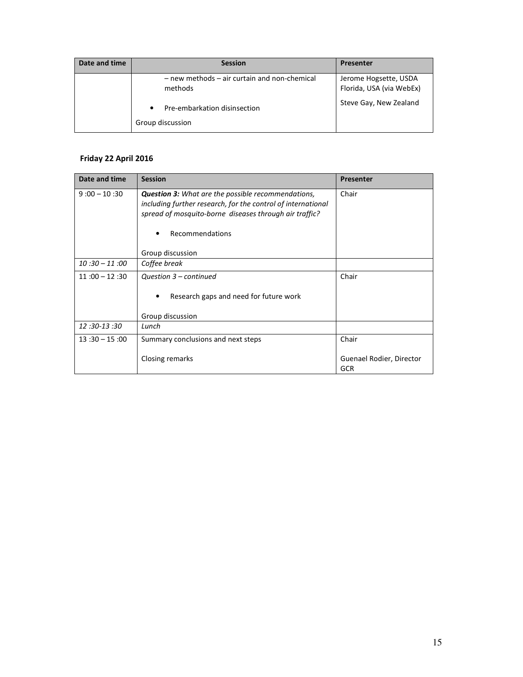| Date and time | <b>Session</b>                                          | Presenter                                         |
|---------------|---------------------------------------------------------|---------------------------------------------------|
|               | - new methods - air curtain and non-chemical<br>methods | Jerome Hogsette, USDA<br>Florida, USA (via WebEx) |
|               | Pre-embarkation disinsection<br>$\bullet$               | Steve Gay, New Zealand                            |
|               | Group discussion                                        |                                                   |

## Friday 22 April 2016

| Date and time   | <b>Session</b>                                               | Presenter                |
|-----------------|--------------------------------------------------------------|--------------------------|
| $9:00 - 10:30$  | <b>Question 3:</b> What are the possible recommendations,    | Chair                    |
|                 | including further research, for the control of international |                          |
|                 | spread of mosquito-borne diseases through air traffic?       |                          |
|                 |                                                              |                          |
|                 | Recommendations                                              |                          |
|                 | Group discussion                                             |                          |
| $10:30 - 11:00$ | Coffee break                                                 |                          |
|                 |                                                              |                          |
| $11:00 - 12:30$ | Question 3 – continued                                       | Chair                    |
|                 |                                                              |                          |
|                 | Research gaps and need for future work                       |                          |
|                 |                                                              |                          |
|                 | Group discussion                                             |                          |
| 12:30-13:30     | Lunch                                                        |                          |
| $13:30 - 15:00$ | Summary conclusions and next steps                           | Chair                    |
|                 |                                                              |                          |
|                 | Closing remarks                                              | Guenael Rodier, Director |
|                 |                                                              | <b>GCR</b>               |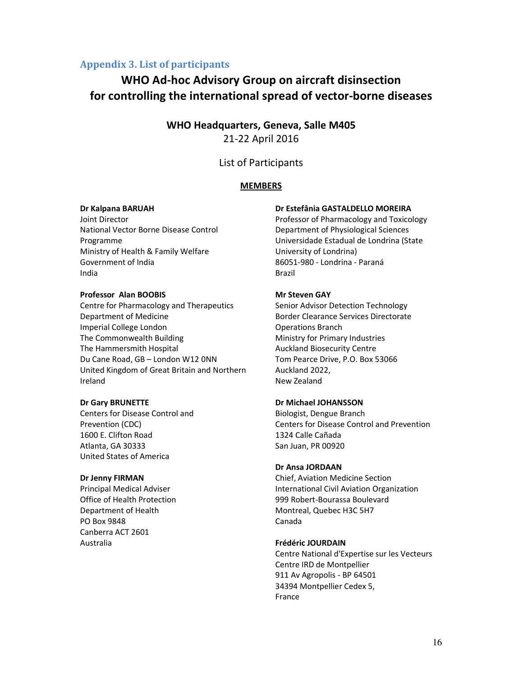## Appendix 3. List of participants

# WHO Ad-hoc Advisory Group on aircraft disinsection for controlling the international spread of vector-borne diseases

WHO Headquarters, Geneva, Salle M405 21-22 April 2016

## List of Participants

## **MEMBERS**

#### Dr Kalpana BARUAH

Joint Director National Vector Borne Disease Control Programme Ministry of Health & Family Welfare Government of India India

### Professor Alan BOOBIS

Centre for Pharmacology and Therapeutics Department of Medicine Imperial College London The Commonwealth Building The Hammersmith Hospital Du Cane Road, GB – London W12 0NN United Kingdom of Great Britain and Northern Ireland

#### Dr Gary BRUNETTE

Centers for Disease Control and Prevention (CDC) 1600 E. Clifton Road Atlanta, GA 30333 United States of America

#### Dr Jenny FIRMAN

Principal Medical Adviser Office of Health Protection Department of Health PO Box 9848 Canberra ACT 2601 Australia

#### Dr Estefânia GASTALDELLO MOREIRA

Professor of Pharmacology and Toxicology Department of Physiological Sciences Universidade Estadual de Londrina (State University of Londrina) 86051-980 - Londrina - Paraná Brazil

### Mr Steven GAY

Senior Advisor Detection Technology Border Clearance Services Directorate Operations Branch Ministry for Primary Industries Auckland Biosecurity Centre Tom Pearce Drive, P.O. Box 53066 Auckland 2022, New Zealand

### Dr Michael JOHANSSON

Biologist, Dengue Branch Centers for Disease Control and Prevention 1324 Calle Cañada San Juan, PR 00920

#### Dr Ansa JORDAAN

Chief, Aviation Medicine Section International Civil Aviation Organization 999 Robert-Bourassa Boulevard Montreal, Quebec H3C 5H7 Canada

#### Frédéric JOURDAIN

Centre National d'Expertise sur les Vecteurs Centre IRD de Montpellier 911 Av Agropolis - BP 64501 34394 Montpellier Cedex 5, France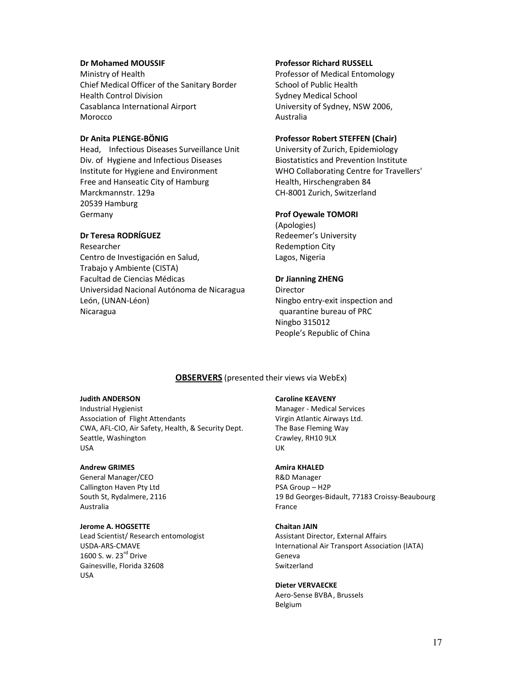#### Dr Mohamed MOUSSIF

Ministry of Health Chief Medical Officer of the Sanitary Border Health Control Division Casablanca International Airport Morocco

## Dr Anita PLENGE-BÖNIG

Head, Infectious Diseases Surveillance Unit Div. of Hygiene and Infectious Diseases Institute for Hygiene and Environment Free and Hanseatic City of Hamburg Marckmannstr. 129a 20539 Hamburg Germany

## Dr Teresa RODRÍGUEZ

Researcher Centro de Investigación en Salud, Trabajo y Ambiente (CISTA) Facultad de Ciencias Médicas Universidad Nacional Autónoma de Nicaragua León, (UNAN-Léon) Nicaragua

#### Professor Richard RUSSELL

Professor of Medical Entomology School of Public Health Sydney Medical School University of Sydney, NSW 2006, Australia

#### Professor Robert STEFFEN (Chair)

University of Zurich, Epidemiology Biostatistics and Prevention Institute WHO Collaborating Centre for Travellers' Health, Hirschengraben 84 CH-8001 Zurich, Switzerland

#### Prof Oyewale TOMORI

(Apologies) Redeemer's University Redemption City Lagos, Nigeria

#### Dr Jianning ZHENG

Director Ningbo entry-exit inspection and quarantine bureau of PRC Ningbo 315012 People's Republic of China

#### **OBSERVERS** (presented their views via WebEx)

#### Judith ANDERSON

Industrial Hygienist Association of Flight Attendants CWA, AFL-CIO, Air Safety, Health, & Security Dept. Seattle, Washington USA

#### Andrew GRIMES

General Manager/CEO Callington Haven Pty Ltd South St, Rydalmere, 2116 Australia

#### Jerome A. HOGSETTE

Lead Scientist/ Research entomologist USDA-ARS-CMAVE 1600 S. w. 23<sup>rd</sup> Drive Gainesville, Florida 32608 USA

#### Caroline KEAVENY

Manager - Medical Services Virgin Atlantic Airways Ltd. The Base Fleming Way Crawley, RH10 9LX UK

#### Amira KHALED

R&D Manager PSA Group – H2P 19 Bd Georges-Bidault, 77183 Croissy-Beaubourg France

#### Chaitan JAIN

Assistant Director, External Affairs International Air Transport Association (IATA) Geneva Switzerland

#### Dieter VERVAECKE

Aero-Sense BVBA , Brussels Belgium